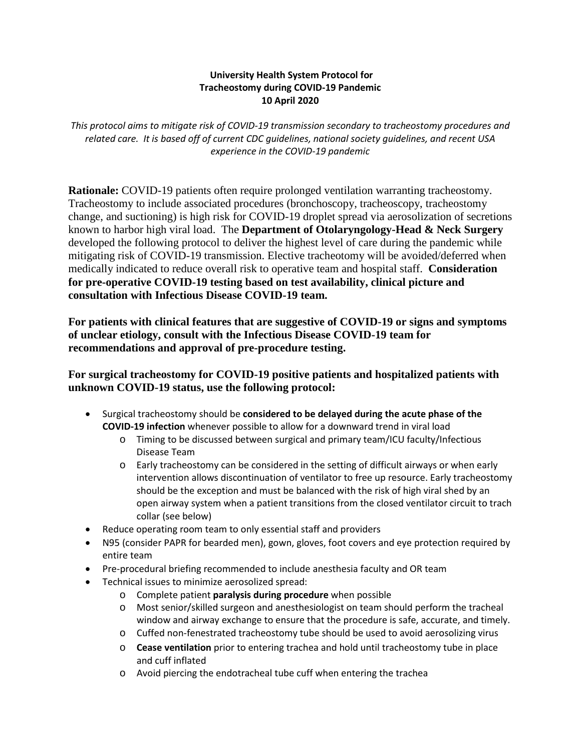## **University Health System Protocol for 10 April 2020 Tracheostomy during COVID-19 Pandemic**

*This protocol aims to mitigate risk of COVID-19 transmission secondary to tracheostomy procedures and related care. It is based off of current CDC guidelines, national society guidelines, and recent USA experience in the COVID-19 pandemic* 

**Rationale:** COVID-19 patients often require prolonged ventilation warranting tracheostomy. change, and suctioning) is high risk for COVID-19 droplet spread via aerosolization of secretions known to harbor high viral load. The **Department of Otolaryngology-Head & Neck Surgery**  developed the following protocol to deliver the highest level of care during the pandemic while consultation with Infectious Disease COVID-19 team. Tracheostomy to include associated procedures (bronchoscopy, tracheoscopy, tracheostomy mitigating risk of COVID-19 transmission. Elective tracheotomy will be avoided/deferred when medically indicated to reduce overall risk to operative team and hospital staff. **Consideration for pre-operative COVID-19 testing based on test availability, clinical picture and** 

consultation with Infectious Disease COVID-19 team.<br>For patients with clinical features that are suggestive of COVID-19 or signs and symptoms  **of unclear etiology, consult with the Infectious Disease COVID-19 team for recommendations and approval of pre-procedure testing.** 

## **For surgical tracheostomy for COVID-19 positive patients and hospitalized patients with unknown COVID-19 status, use the following protocol:**

- **COVID-19 infection** whenever possible to allow for a downward trend in viral load • Surgical tracheostomy should be **considered to be delayed during the acute phase of the** 
	- Disease Team o Timing to be discussed between surgical and primary team/ICU faculty/Infectious
	- o Early tracheostomy can be considered in the setting of difficult airways or when early should be the exception and must be balanced with the risk of high viral shed by an intervention allows discontinuation of ventilator to free up resource. Early tracheostomy open airway system when a patient transitions from the closed ventilator circuit to trach collar (see below)
- Reduce operating room team to only essential staff and providers
- N95 (consider PAPR for bearded men), gown, gloves, foot covers and eye protection required by entire team
- Pre-procedural briefing recommended to include anesthesia faculty and OR team
- Technical issues to minimize aerosolized spread:
	- o Complete patient **paralysis during procedure** when possible
	- o Most senior/skilled surgeon and anesthesiologist on team should perform the tracheal window and airway exchange to ensure that the procedure is safe, accurate, and timely.
	- o Cuffed non-fenestrated tracheostomy tube should be used to avoid aerosolizing virus
	- o **Cease ventilation** prior to entering trachea and hold until tracheostomy tube in place and cuff inflated
	- o Avoid piercing the endotracheal tube cuff when entering the trachea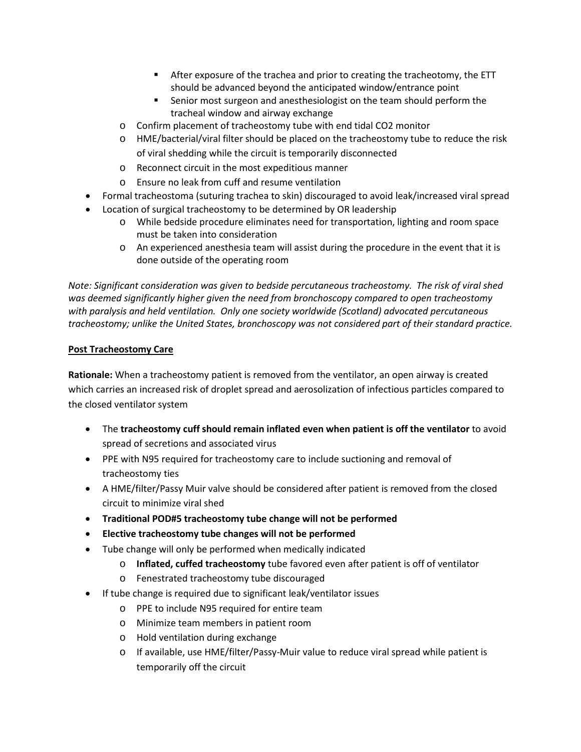- **After exposure of the trachea and prior to creating the tracheotomy, the ETT** should be advanced beyond the anticipated window/entrance point
- Senior most surgeon and anesthesiologist on the team should perform the tracheal window and airway exchange
- o Confirm placement of tracheostomy tube with end tidal CO2 monitor
- of viral shedding while the circuit is temporarily disconnected o HME/bacterial/viral filter should be placed on the tracheostomy tube to reduce the risk
- o Reconnect circuit in the most expeditious manner
- o Ensure no leak from cuff and resume ventilation
- Formal tracheostoma (suturing trachea to skin) discouraged to avoid leak/increased viral spread
- Location of surgical tracheostomy to be determined by OR leadership
	- o While bedside procedure eliminates need for transportation, lighting and room space must be taken into consideration
	- o An experienced anesthesia team will assist during the procedure in the event that it is done outside of the operating room

 *tracheostomy; unlike the United States, bronchoscopy was not considered part of their standard practice. Note: Significant consideration was given to bedside percutaneous tracheostomy. The risk of viral shed was deemed significantly higher given the need from bronchoscopy compared to open tracheostomy with paralysis and held ventilation. Only one society worldwide (Scotland) advocated percutaneous* 

## **Post Tracheostomy Care**

 which carries an increased risk of droplet spread and aerosolization of infectious particles compared to the closed ventilator system **Rationale:** When a tracheostomy patient is removed from the ventilator, an open airway is created

- spread of secretions and associated virus • The **tracheostomy cuff should remain inflated even when patient is off the ventilator** to avoid
- PPE with N95 required for tracheostomy care to include suctioning and removal of tracheostomy ties
- • A HME/filter/Passy Muir valve should be considered after patient is removed from the closed circuit to minimize viral shed
- **Traditional POD#5 tracheostomy tube change will not be performed**
- **Elective tracheostomy tube changes will not be performed**
- Tube change will only be performed when medically indicated
	- o **Inflated, cuffed tracheostomy** tube favored even after patient is off of ventilator
	- o Fenestrated tracheostomy tube discouraged
- If tube change is required due to significant leak/ventilator issues
	- o PPE to include N95 required for entire team
	- o Minimize team members in patient room
	- o Hold ventilation during exchange
	- o If available, use HME/filter/Passy-Muir value to reduce viral spread while patient is temporarily off the circuit